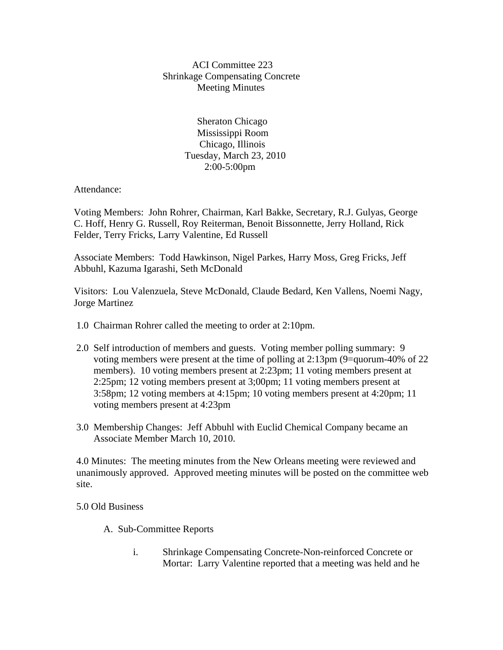## ACI Committee 223 Shrinkage Compensating Concrete Meeting Minutes

 Sheraton Chicago Mississippi Room Chicago, Illinois Tuesday, March 23, 2010 2:00-5:00pm

Attendance:

Voting Members: John Rohrer, Chairman, Karl Bakke, Secretary, R.J. Gulyas, George C. Hoff, Henry G. Russell, Roy Reiterman, Benoit Bissonnette, Jerry Holland, Rick Felder, Terry Fricks, Larry Valentine, Ed Russell

Associate Members: Todd Hawkinson, Nigel Parkes, Harry Moss, Greg Fricks, Jeff Abbuhl, Kazuma Igarashi, Seth McDonald

Visitors: Lou Valenzuela, Steve McDonald, Claude Bedard, Ken Vallens, Noemi Nagy, Jorge Martinez

- 1.0 Chairman Rohrer called the meeting to order at 2:10pm.
- 2.0 Self introduction of members and guests. Voting member polling summary: 9 voting members were present at the time of polling at 2:13pm (9=quorum-40% of 22 members). 10 voting members present at 2:23pm; 11 voting members present at 2:25pm; 12 voting members present at 3;00pm; 11 voting members present at 3:58pm; 12 voting members at 4:15pm; 10 voting members present at 4:20pm; 11 voting members present at 4:23pm
- 3.0 Membership Changes: Jeff Abbuhl with Euclid Chemical Company became an Associate Member March 10, 2010.

4.0 Minutes: The meeting minutes from the New Orleans meeting were reviewed and unanimously approved. Approved meeting minutes will be posted on the committee web site.

5.0 Old Business

- A. Sub-Committee Reports
	- i. Shrinkage Compensating Concrete-Non-reinforced Concrete or Mortar: Larry Valentine reported that a meeting was held and he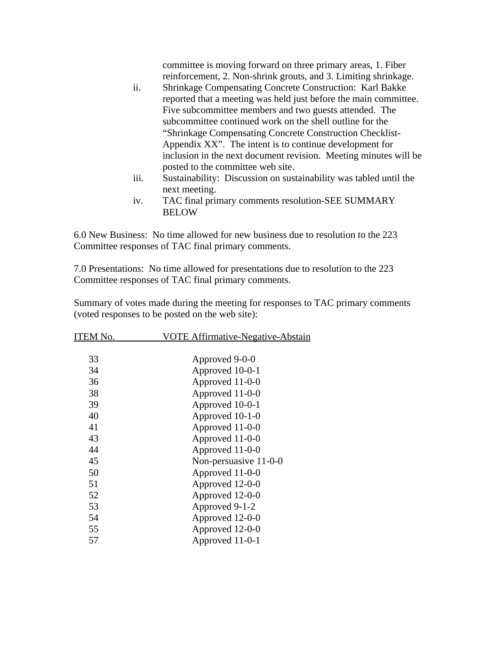committee is moving forward on three primary areas, 1. Fiber reinforcement, 2. Non-shrink grouts, and 3. Limiting shrinkage.

- ii. Shrinkage Compensating Concrete Construction: Karl Bakke reported that a meeting was held just before the main committee. Five subcommittee members and two guests attended. The subcommittee continued work on the shell outline for the "Shrinkage Compensating Concrete Construction Checklist-Appendix XX". The intent is to continue development for inclusion in the next document revision. Meeting minutes will be posted to the committee web site.
- iii. Sustainability: Discussion on sustainability was tabled until the next meeting.
- iv. TAC final primary comments resolution-SEE SUMMARY **BELOW**

6.0 New Business: No time allowed for new business due to resolution to the 223 Committee responses of TAC final primary comments.

7.0 Presentations: No time allowed for presentations due to resolution to the 223 Committee responses of TAC final primary comments.

Summary of votes made during the meeting for responses to TAC primary comments (voted responses to be posted on the web site):

| ITEM No. | <u>VOTE Affirmative-Negative-Abstain</u> |
|----------|------------------------------------------|
|          |                                          |
| 33       | Approved 9-0-0                           |
| 34       | Approved 10-0-1                          |
| 36       | Approved 11-0-0                          |
| 38       | Approved 11-0-0                          |
| 39       | Approved 10-0-1                          |
| 40       | Approved 10-1-0                          |
| 41       | Approved 11-0-0                          |
| 43       | Approved 11-0-0                          |
| 44       | Approved 11-0-0                          |
| 45       | Non-persuasive 11-0-0                    |
| 50       | Approved 11-0-0                          |
| 51       | Approved 12-0-0                          |
| 52       | Approved 12-0-0                          |
| 53       | Approved 9-1-2                           |
| 54       | Approved 12-0-0                          |
| 55       | Approved 12-0-0                          |
| 57       | Approved 11-0-1                          |